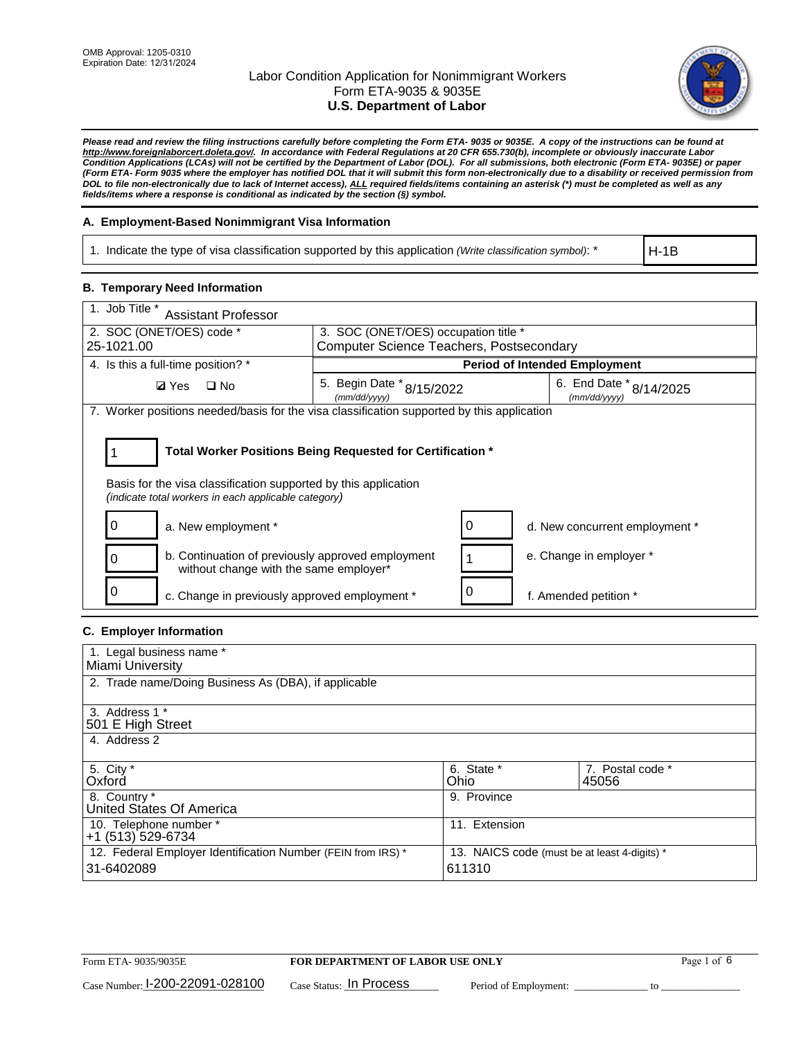

*Please read and review the filing instructions carefully before completing the Form ETA- 9035 or 9035E. A copy of the instructions can be found at [http://www.foreignlaborcert.doleta.gov/.](http://www.foreignlaborcert.doleta.gov/) In accordance with Federal Regulations at 20 CFR 655.730(b), incomplete or obviously inaccurate Labor Condition Applications (LCAs) will not be certified by the Department of Labor (DOL). For all submissions, both electronic (Form ETA- 9035E) or paper (Form ETA- Form 9035 where the employer has notified DOL that it will submit this form non-electronically due to a disability or received permission from DOL to file non-electronically due to lack of Internet access), ALL required fields/items containing an asterisk (\*) must be completed as well as any fields/items where a response is conditional as indicated by the section (§) symbol.* 

### **A. Employment-Based Nonimmigrant Visa Information**

1. Indicate the type of visa classification supported by this application *(Write classification symbol)*: \*

H-1B

### **B. Temporary Need Information**

| 1. Job Title *<br><b>Assistant Professor</b>                                                                                                                                          |                                                 |  |                                         |
|---------------------------------------------------------------------------------------------------------------------------------------------------------------------------------------|-------------------------------------------------|--|-----------------------------------------|
| 2. SOC (ONET/OES) code *                                                                                                                                                              | 3. SOC (ONET/OES) occupation title *            |  |                                         |
| 25-1021.00                                                                                                                                                                            | <b>Computer Science Teachers, Postsecondary</b> |  |                                         |
| 4. Is this a full-time position? *                                                                                                                                                    |                                                 |  | <b>Period of Intended Employment</b>    |
| <b>Ø</b> Yes<br>$\square$ No                                                                                                                                                          | 5. Begin Date * 8/15/2022<br>(mm/dd/yyyy)       |  | 6. End Date * 8/14/2025<br>(mm/dd/yyyy) |
| 7. Worker positions needed/basis for the visa classification supported by this application                                                                                            |                                                 |  |                                         |
| Total Worker Positions Being Requested for Certification *<br>Basis for the visa classification supported by this application<br>(indicate total workers in each applicable category) |                                                 |  |                                         |
| a. New employment *                                                                                                                                                                   |                                                 |  | d. New concurrent employment *          |
| b. Continuation of previously approved employment<br>without change with the same employer*                                                                                           |                                                 |  | e. Change in employer *                 |
| c. Change in previously approved employment *                                                                                                                                         |                                                 |  | f. Amended petition *                   |

# **C. Employer Information**

| 1. Legal business name *                                     |                                              |                  |
|--------------------------------------------------------------|----------------------------------------------|------------------|
| Miami University                                             |                                              |                  |
| 2. Trade name/Doing Business As (DBA), if applicable         |                                              |                  |
|                                                              |                                              |                  |
| 3. Address 1 *                                               |                                              |                  |
| 501 E High Street                                            |                                              |                  |
| 4. Address 2                                                 |                                              |                  |
|                                                              |                                              |                  |
| 5. City *                                                    | 6. State *                                   | 7. Postal code * |
| Oxford                                                       | Ohio                                         | 45056            |
| 8. Country *                                                 | 9. Province                                  |                  |
| United States Of America                                     |                                              |                  |
| 10. Telephone number *                                       | 11. Extension                                |                  |
| +1 (513) 529-6734                                            |                                              |                  |
| 12. Federal Employer Identification Number (FEIN from IRS) * | 13. NAICS code (must be at least 4-digits) * |                  |
| 31-6402089                                                   | 611310                                       |                  |
|                                                              |                                              |                  |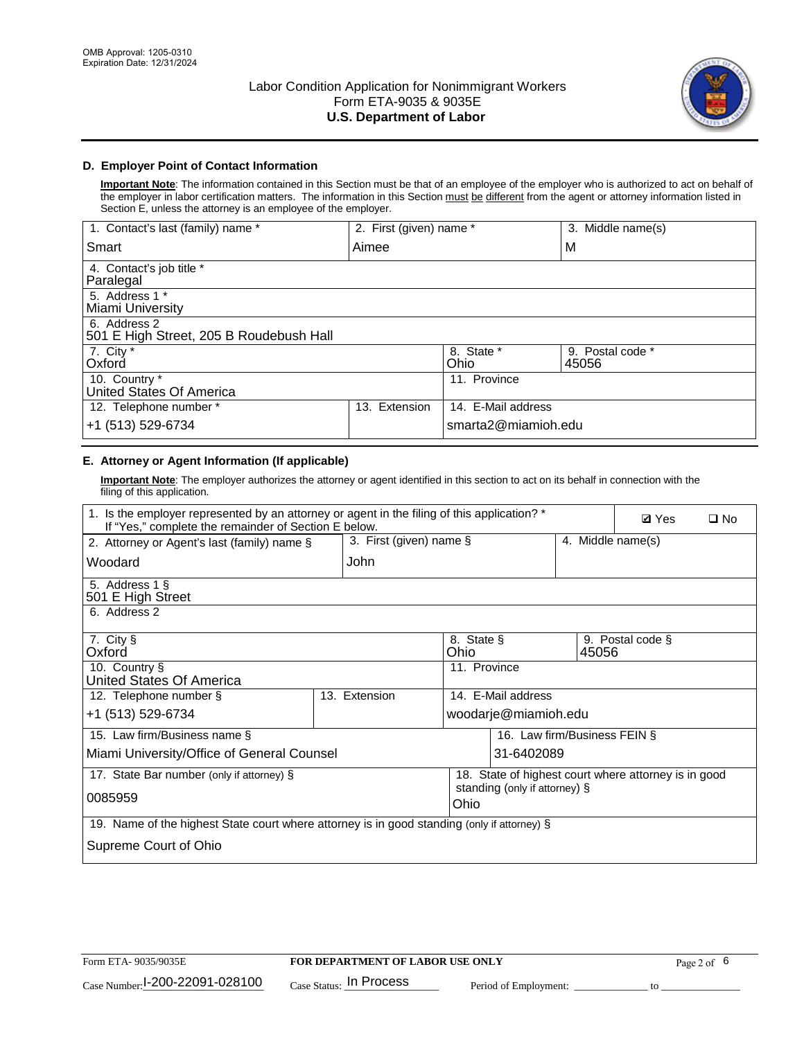

## **D. Employer Point of Contact Information**

**Important Note**: The information contained in this Section must be that of an employee of the employer who is authorized to act on behalf of the employer in labor certification matters. The information in this Section must be different from the agent or attorney information listed in Section E, unless the attorney is an employee of the employer.

| 1. Contact's last (family) name *                       | 2. First (given) name * |                     | 3. Middle name(s)         |
|---------------------------------------------------------|-------------------------|---------------------|---------------------------|
| Smart                                                   | Aimee                   |                     | M                         |
| 4. Contact's job title *<br>Paralegal                   |                         |                     |                           |
| 5. Address 1 *<br>Miami University                      |                         |                     |                           |
| 6. Address 2<br>501 E High Street, 205 B Roudebush Hall |                         |                     |                           |
| 7. City *<br>Oxford                                     |                         | 8. State *<br>Ohio  | 9. Postal code *<br>45056 |
| 10. Country *<br>United States Of America               |                         | 11. Province        |                           |
| 12. Telephone number *                                  | Extension<br>13.        | 14. E-Mail address  |                           |
| +1 (513) 529-6734                                       |                         | smarta2@miamioh.edu |                           |

# **E. Attorney or Agent Information (If applicable)**

**Important Note**: The employer authorizes the attorney or agent identified in this section to act on its behalf in connection with the filing of this application.

| 1. Is the employer represented by an attorney or agent in the filing of this application? *<br>If "Yes," complete the remainder of Section E below. | <b>Ø</b> Yes            | $\square$ No                          |                                                      |                   |  |
|-----------------------------------------------------------------------------------------------------------------------------------------------------|-------------------------|---------------------------------------|------------------------------------------------------|-------------------|--|
| 2. Attorney or Agent's last (family) name §                                                                                                         | 3. First (given) name § |                                       |                                                      | 4. Middle name(s) |  |
| Woodard                                                                                                                                             | John                    |                                       |                                                      |                   |  |
| 5. Address 1 §<br>501 E High Street                                                                                                                 |                         |                                       |                                                      |                   |  |
| 6. Address 2                                                                                                                                        |                         |                                       |                                                      |                   |  |
| 7. City §<br>Oxford                                                                                                                                 |                         | 8. State §<br>Ohio                    | 45056                                                | 9. Postal code §  |  |
| 10. Country §<br>United States Of America                                                                                                           |                         | 11. Province                          |                                                      |                   |  |
| 12. Telephone number §                                                                                                                              | 13. Extension           | 14. E-Mail address                    |                                                      |                   |  |
| +1 (513) 529-6734                                                                                                                                   |                         | woodarje@miamioh.edu                  |                                                      |                   |  |
| 15. Law firm/Business name §                                                                                                                        |                         |                                       | 16. Law firm/Business FEIN §                         |                   |  |
| Miami University/Office of General Counsel                                                                                                          |                         | 31-6402089                            |                                                      |                   |  |
| 17. State Bar number (only if attorney) §                                                                                                           |                         |                                       | 18. State of highest court where attorney is in good |                   |  |
| 0085959                                                                                                                                             |                         | standing (only if attorney) §<br>Ohio |                                                      |                   |  |
| 19. Name of the highest State court where attorney is in good standing (only if attorney) §                                                         |                         |                                       |                                                      |                   |  |
| Supreme Court of Ohio                                                                                                                               |                         |                                       |                                                      |                   |  |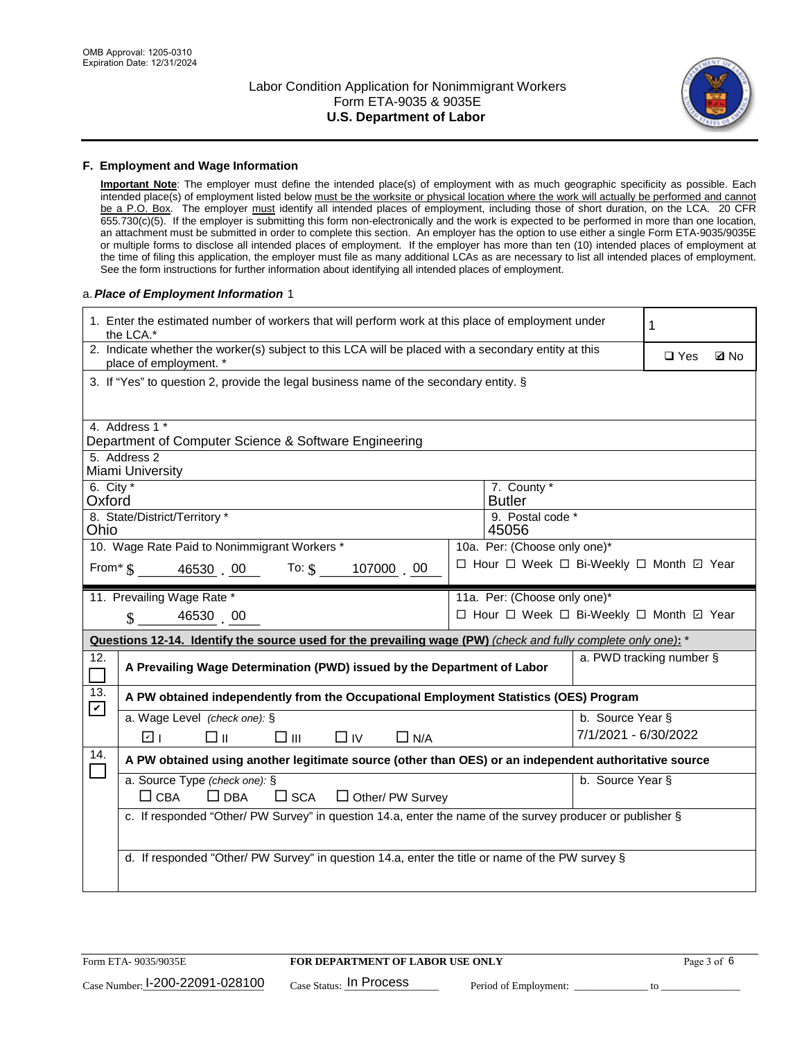

#### **F. Employment and Wage Information**

**Important Note**: The employer must define the intended place(s) of employment with as much geographic specificity as possible. Each intended place(s) of employment listed below must be the worksite or physical location where the work will actually be performed and cannot be a P.O. Box. The employer must identify all intended places of employment, including those of short duration, on the LCA. 20 CFR 655.730(c)(5). If the employer is submitting this form non-electronically and the work is expected to be performed in more than one location, an attachment must be submitted in order to complete this section. An employer has the option to use either a single Form ETA-9035/9035E or multiple forms to disclose all intended places of employment. If the employer has more than ten (10) intended places of employment at the time of filing this application, the employer must file as many additional LCAs as are necessary to list all intended places of employment. See the form instructions for further information about identifying all intended places of employment.

#### a.*Place of Employment Information* 1

| 1. Enter the estimated number of workers that will perform work at this place of employment under<br>the LCA.*    |                                                                                                                                |  |                                          |                      | 1                        |             |
|-------------------------------------------------------------------------------------------------------------------|--------------------------------------------------------------------------------------------------------------------------------|--|------------------------------------------|----------------------|--------------------------|-------------|
|                                                                                                                   | 2. Indicate whether the worker(s) subject to this LCA will be placed with a secondary entity at this<br>place of employment. * |  |                                          |                      | $\Box$ Yes               | <b>Q</b> No |
|                                                                                                                   | 3. If "Yes" to question 2, provide the legal business name of the secondary entity. §                                          |  |                                          |                      |                          |             |
|                                                                                                                   | 4. Address 1 *                                                                                                                 |  |                                          |                      |                          |             |
|                                                                                                                   | Department of Computer Science & Software Engineering                                                                          |  |                                          |                      |                          |             |
|                                                                                                                   | 5. Address 2<br>Miami University                                                                                               |  |                                          |                      |                          |             |
| 6. City $*$<br>Oxford                                                                                             |                                                                                                                                |  | 7. County *<br><b>Butler</b>             |                      |                          |             |
| 8. State/District/Territory *<br>9. Postal code *<br>45056<br>Ohio                                                |                                                                                                                                |  |                                          |                      |                          |             |
|                                                                                                                   | 10. Wage Rate Paid to Nonimmigrant Workers *                                                                                   |  | 10a. Per: (Choose only one)*             |                      |                          |             |
| □ Hour □ Week □ Bi-Weekly □ Month ☑ Year<br>From $\frac{1}{2}$ $\frac{46530}{100}$ 00 To: $\frac{10000}{1000}$ 00 |                                                                                                                                |  |                                          |                      |                          |             |
|                                                                                                                   | 11. Prevailing Wage Rate *                                                                                                     |  | 11a. Per: (Choose only one)*             |                      |                          |             |
|                                                                                                                   | $\sin 4653000$                                                                                                                 |  | □ Hour □ Week □ Bi-Weekly □ Month □ Year |                      |                          |             |
|                                                                                                                   | Questions 12-14. Identify the source used for the prevailing wage (PW) (check and fully complete only one): *                  |  |                                          |                      |                          |             |
| 12.<br>Г                                                                                                          | A Prevailing Wage Determination (PWD) issued by the Department of Labor                                                        |  |                                          |                      | a. PWD tracking number § |             |
| 13.<br>$\boldsymbol{\mathcal{V}}$                                                                                 | A PW obtained independently from the Occupational Employment Statistics (OES) Program                                          |  |                                          |                      |                          |             |
|                                                                                                                   |                                                                                                                                |  |                                          |                      |                          |             |
|                                                                                                                   | a. Wage Level (check one): §                                                                                                   |  |                                          | b. Source Year §     |                          |             |
|                                                                                                                   | □⊪<br>$\square$ $\square$<br>$\Box$ IV<br>$\Box$ N/A<br>☑ ⊧                                                                    |  |                                          | 7/1/2021 - 6/30/2022 |                          |             |
| 14.                                                                                                               | A PW obtained using another legitimate source (other than OES) or an independent authoritative source                          |  |                                          |                      |                          |             |
|                                                                                                                   | a. Source Type (check one): §                                                                                                  |  |                                          | b. Source Year §     |                          |             |
|                                                                                                                   | $\Box$ CBA<br>$\Box$ DBA<br>$\square$ SCA<br>$\Box$ Other/ PW Survey                                                           |  |                                          |                      |                          |             |
|                                                                                                                   | c. If responded "Other/ PW Survey" in question 14.a, enter the name of the survey producer or publisher §                      |  |                                          |                      |                          |             |
|                                                                                                                   |                                                                                                                                |  |                                          |                      |                          |             |
|                                                                                                                   | d. If responded "Other/ PW Survey" in question 14.a, enter the title or name of the PW survey §                                |  |                                          |                      |                          |             |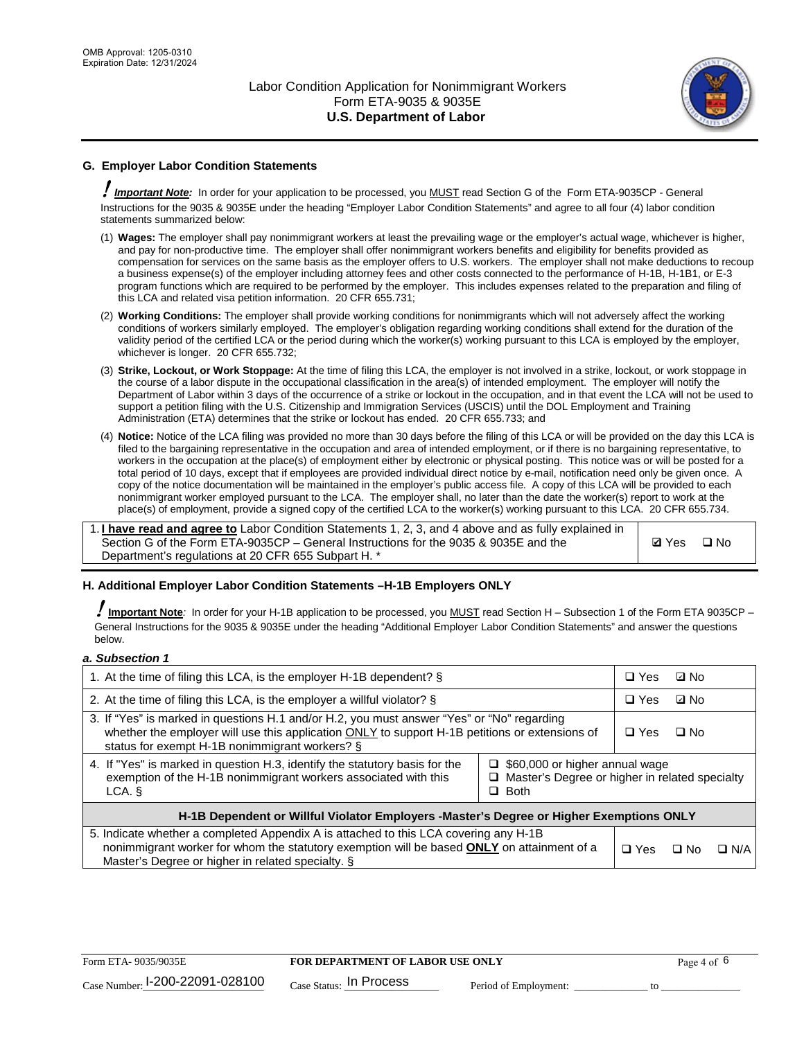

# **G. Employer Labor Condition Statements**

! *Important Note:* In order for your application to be processed, you MUST read Section G of the Form ETA-9035CP - General Instructions for the 9035 & 9035E under the heading "Employer Labor Condition Statements" and agree to all four (4) labor condition statements summarized below:

- (1) **Wages:** The employer shall pay nonimmigrant workers at least the prevailing wage or the employer's actual wage, whichever is higher, and pay for non-productive time. The employer shall offer nonimmigrant workers benefits and eligibility for benefits provided as compensation for services on the same basis as the employer offers to U.S. workers. The employer shall not make deductions to recoup a business expense(s) of the employer including attorney fees and other costs connected to the performance of H-1B, H-1B1, or E-3 program functions which are required to be performed by the employer. This includes expenses related to the preparation and filing of this LCA and related visa petition information. 20 CFR 655.731;
- (2) **Working Conditions:** The employer shall provide working conditions for nonimmigrants which will not adversely affect the working conditions of workers similarly employed. The employer's obligation regarding working conditions shall extend for the duration of the validity period of the certified LCA or the period during which the worker(s) working pursuant to this LCA is employed by the employer, whichever is longer. 20 CFR 655.732;
- (3) **Strike, Lockout, or Work Stoppage:** At the time of filing this LCA, the employer is not involved in a strike, lockout, or work stoppage in the course of a labor dispute in the occupational classification in the area(s) of intended employment. The employer will notify the Department of Labor within 3 days of the occurrence of a strike or lockout in the occupation, and in that event the LCA will not be used to support a petition filing with the U.S. Citizenship and Immigration Services (USCIS) until the DOL Employment and Training Administration (ETA) determines that the strike or lockout has ended. 20 CFR 655.733; and
- (4) **Notice:** Notice of the LCA filing was provided no more than 30 days before the filing of this LCA or will be provided on the day this LCA is filed to the bargaining representative in the occupation and area of intended employment, or if there is no bargaining representative, to workers in the occupation at the place(s) of employment either by electronic or physical posting. This notice was or will be posted for a total period of 10 days, except that if employees are provided individual direct notice by e-mail, notification need only be given once. A copy of the notice documentation will be maintained in the employer's public access file. A copy of this LCA will be provided to each nonimmigrant worker employed pursuant to the LCA. The employer shall, no later than the date the worker(s) report to work at the place(s) of employment, provide a signed copy of the certified LCA to the worker(s) working pursuant to this LCA. 20 CFR 655.734.

1. **I have read and agree to** Labor Condition Statements 1, 2, 3, and 4 above and as fully explained in Section G of the Form ETA-9035CP – General Instructions for the 9035 & 9035E and the Department's regulations at 20 CFR 655 Subpart H. \*

**Ø**Yes ロNo

### **H. Additional Employer Labor Condition Statements –H-1B Employers ONLY**

!**Important Note***:* In order for your H-1B application to be processed, you MUST read Section H – Subsection 1 of the Form ETA 9035CP – General Instructions for the 9035 & 9035E under the heading "Additional Employer Labor Condition Statements" and answer the questions below.

#### *a. Subsection 1*

| 1. At the time of filing this LCA, is the employer H-1B dependent? §                                                                                                                                                                                                    |  | $\Box$ Yes | ⊡ No      |            |
|-------------------------------------------------------------------------------------------------------------------------------------------------------------------------------------------------------------------------------------------------------------------------|--|------------|-----------|------------|
| 2. At the time of filing this LCA, is the employer a willful violator? $\S$                                                                                                                                                                                             |  | $\Box$ Yes | ⊡ No      |            |
| 3. If "Yes" is marked in questions H.1 and/or H.2, you must answer "Yes" or "No" regarding<br>whether the employer will use this application ONLY to support H-1B petitions or extensions of<br>status for exempt H-1B nonimmigrant workers? §                          |  | $\Box$ Yes | $\Box$ No |            |
| 4. If "Yes" is marked in question H.3, identify the statutory basis for the<br>$\Box$ \$60,000 or higher annual wage<br>exemption of the H-1B nonimmigrant workers associated with this<br>$\Box$ Master's Degree or higher in related specialty<br>$\Box$ Both<br>LCA. |  |            |           |            |
| H-1B Dependent or Willful Violator Employers -Master's Degree or Higher Exemptions ONLY                                                                                                                                                                                 |  |            |           |            |
| 5. Indicate whether a completed Appendix A is attached to this LCA covering any H-1B<br>nonimmigrant worker for whom the statutory exemption will be based <b>ONLY</b> on attainment of a<br>Master's Degree or higher in related specialty. §                          |  | $\Box$ Yes | ⊡ No      | $\Box$ N/A |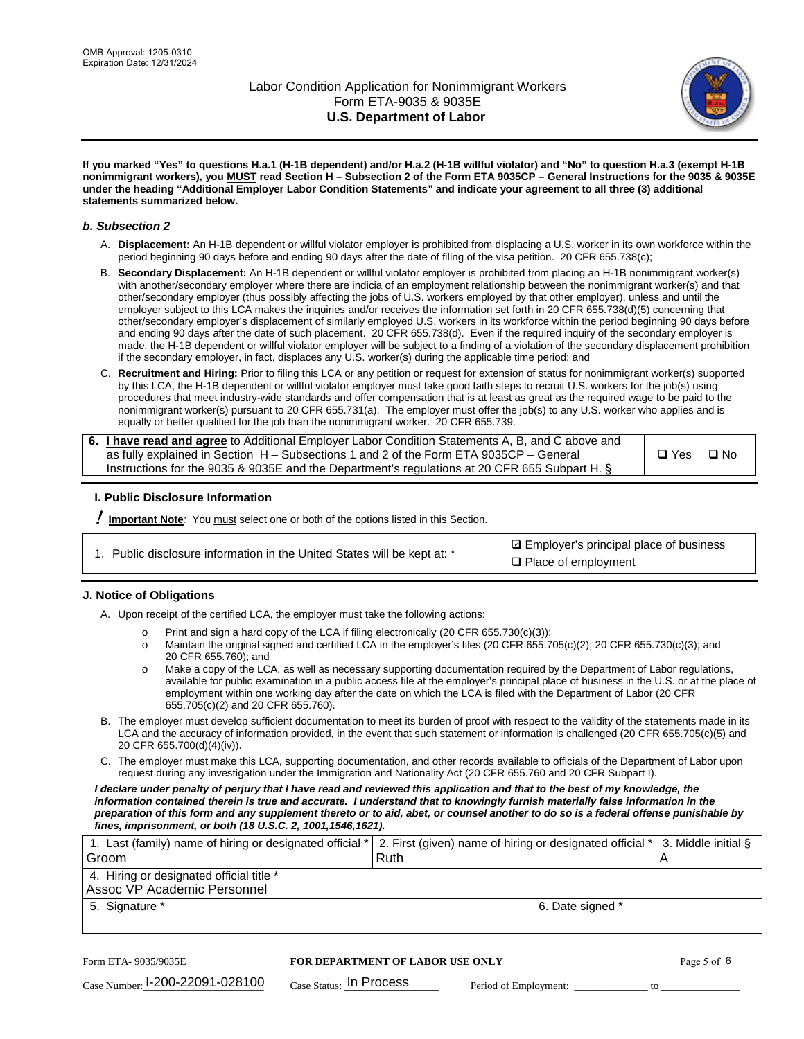

**If you marked "Yes" to questions H.a.1 (H-1B dependent) and/or H.a.2 (H-1B willful violator) and "No" to question H.a.3 (exempt H-1B nonimmigrant workers), you MUST read Section H – Subsection 2 of the Form ETA 9035CP – General Instructions for the 9035 & 9035E under the heading "Additional Employer Labor Condition Statements" and indicate your agreement to all three (3) additional statements summarized below.**

#### *b. Subsection 2*

- A. **Displacement:** An H-1B dependent or willful violator employer is prohibited from displacing a U.S. worker in its own workforce within the period beginning 90 days before and ending 90 days after the date of filing of the visa petition. 20 CFR 655.738(c);
- B. **Secondary Displacement:** An H-1B dependent or willful violator employer is prohibited from placing an H-1B nonimmigrant worker(s) with another/secondary employer where there are indicia of an employment relationship between the nonimmigrant worker(s) and that other/secondary employer (thus possibly affecting the jobs of U.S. workers employed by that other employer), unless and until the employer subject to this LCA makes the inquiries and/or receives the information set forth in 20 CFR 655.738(d)(5) concerning that other/secondary employer's displacement of similarly employed U.S. workers in its workforce within the period beginning 90 days before and ending 90 days after the date of such placement. 20 CFR 655.738(d). Even if the required inquiry of the secondary employer is made, the H-1B dependent or willful violator employer will be subject to a finding of a violation of the secondary displacement prohibition if the secondary employer, in fact, displaces any U.S. worker(s) during the applicable time period; and
- C. **Recruitment and Hiring:** Prior to filing this LCA or any petition or request for extension of status for nonimmigrant worker(s) supported by this LCA, the H-1B dependent or willful violator employer must take good faith steps to recruit U.S. workers for the job(s) using procedures that meet industry-wide standards and offer compensation that is at least as great as the required wage to be paid to the nonimmigrant worker(s) pursuant to 20 CFR 655.731(a). The employer must offer the job(s) to any U.S. worker who applies and is equally or better qualified for the job than the nonimmigrant worker. 20 CFR 655.739.

| 6. I have read and agree to Additional Employer Labor Condition Statements A, B, and C above and |       |           |
|--------------------------------------------------------------------------------------------------|-------|-----------|
| as fully explained in Section H – Subsections 1 and 2 of the Form ETA 9035CP – General           | □ Yes | $\Box$ No |
| Instructions for the 9035 & 9035 E and the Department's regulations at 20 CFR 655 Subpart H. §   |       |           |

### **I. Public Disclosure Information**

! **Important Note***:* You must select one or both of the options listed in this Section.

**sqrt** Employer's principal place of business □ Place of employment

### **J. Notice of Obligations**

A. Upon receipt of the certified LCA, the employer must take the following actions:

- o Print and sign a hard copy of the LCA if filing electronically (20 CFR 655.730(c)(3));<br>
Maintain the original signed and certified LCA in the employer's files (20 CFR 655.7
- Maintain the original signed and certified LCA in the employer's files (20 CFR 655.705(c)(2); 20 CFR 655.730(c)(3); and 20 CFR 655.760); and
- o Make a copy of the LCA, as well as necessary supporting documentation required by the Department of Labor regulations, available for public examination in a public access file at the employer's principal place of business in the U.S. or at the place of employment within one working day after the date on which the LCA is filed with the Department of Labor (20 CFR 655.705(c)(2) and 20 CFR 655.760).
- B. The employer must develop sufficient documentation to meet its burden of proof with respect to the validity of the statements made in its LCA and the accuracy of information provided, in the event that such statement or information is challenged (20 CFR 655.705(c)(5) and 20 CFR 655.700(d)(4)(iv)).
- C. The employer must make this LCA, supporting documentation, and other records available to officials of the Department of Labor upon request during any investigation under the Immigration and Nationality Act (20 CFR 655.760 and 20 CFR Subpart I).

*I declare under penalty of perjury that I have read and reviewed this application and that to the best of my knowledge, the*  information contained therein is true and accurate. I understand that to knowingly furnish materially false information in the *preparation of this form and any supplement thereto or to aid, abet, or counsel another to do so is a federal offense punishable by fines, imprisonment, or both (18 U.S.C. 2, 1001,1546,1621).*

| 1. Last (family) name of hiring or designated official *  2. First (given) name of hiring or designated official *  3. Middle initial § |      |                  |  |
|-----------------------------------------------------------------------------------------------------------------------------------------|------|------------------|--|
| Groom                                                                                                                                   | Ruth |                  |  |
| 4. Hiring or designated official title *                                                                                                |      |                  |  |
| Assoc VP Academic Personnel                                                                                                             |      |                  |  |
| 5. Signature *                                                                                                                          |      | 6. Date signed * |  |
|                                                                                                                                         |      |                  |  |

| Form ETA-9035/9035E                         | FOR DEPARTMENT OF LABOR USE ONLY   |                       | Page 5 of 6 |
|---------------------------------------------|------------------------------------|-----------------------|-------------|
| $_{\text{Case Number:}}$ I-200-22091-028100 | $_{\rm Case~S status:}$ In Process | Period of Employment: |             |